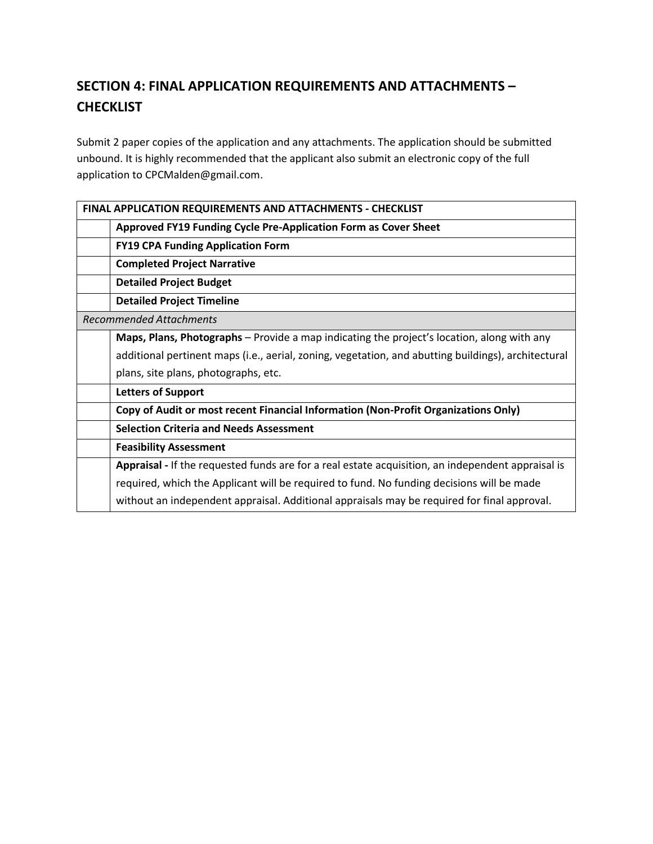# **SECTION 4: FINAL APPLICATION REQUIREMENTS AND ATTACHMENTS – CHECKLIST**

Submit 2 paper copies of the application and any attachments. The application should be submitted unbound. It is highly recommended that the applicant also submit an electronic copy of the full application to [CPCMalden@gmail.com.](mailto:CPCMalden@gmail.com)

| FINAL APPLICATION REQUIREMENTS AND ATTACHMENTS - CHECKLIST                                          |
|-----------------------------------------------------------------------------------------------------|
| Approved FY19 Funding Cycle Pre-Application Form as Cover Sheet                                     |
| <b>FY19 CPA Funding Application Form</b>                                                            |
| <b>Completed Project Narrative</b>                                                                  |
| <b>Detailed Project Budget</b>                                                                      |
| <b>Detailed Project Timeline</b>                                                                    |
| <b>Recommended Attachments</b>                                                                      |
| Maps, Plans, Photographs – Provide a map indicating the project's location, along with any          |
| additional pertinent maps (i.e., aerial, zoning, vegetation, and abutting buildings), architectural |
| plans, site plans, photographs, etc.                                                                |
| <b>Letters of Support</b>                                                                           |
| Copy of Audit or most recent Financial Information (Non-Profit Organizations Only)                  |
| <b>Selection Criteria and Needs Assessment</b>                                                      |
| <b>Feasibility Assessment</b>                                                                       |
| Appraisal - If the requested funds are for a real estate acquisition, an independent appraisal is   |
| required, which the Applicant will be required to fund. No funding decisions will be made           |
| without an independent appraisal. Additional appraisals may be required for final approval.         |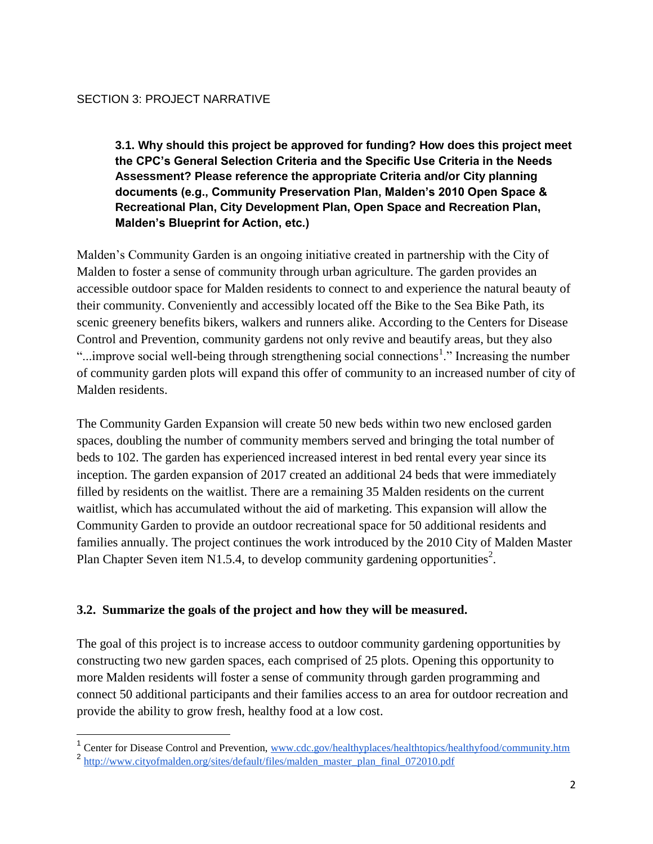**3.1. Why should this project be approved for funding? How does this project meet the CPC's General Selection Criteria and the Specific Use Criteria in the Needs Assessment? Please reference the appropriate Criteria and/or City planning documents (e.g., Community Preservation Plan, Malden's 2010 Open Space & Recreational Plan, City Development Plan, Open Space and Recreation Plan, Malden's Blueprint for Action, etc.)** 

Malden's Community Garden is an ongoing initiative created in partnership with the City of Malden to foster a sense of community through urban agriculture. The garden provides an accessible outdoor space for Malden residents to connect to and experience the natural beauty of their community. Conveniently and accessibly located off the Bike to the Sea Bike Path, its scenic greenery benefits bikers, walkers and runners alike. According to the Centers for Disease Control and Prevention, community gardens not only revive and beautify areas, but they also "...improve social well-being through strengthening social connections<sup>1</sup>." Increasing the number of community garden plots will expand this offer of community to an increased number of city of Malden residents.

The Community Garden Expansion will create 50 new beds within two new enclosed garden spaces, doubling the number of community members served and bringing the total number of beds to 102. The garden has experienced increased interest in bed rental every year since its inception. The garden expansion of 2017 created an additional 24 beds that were immediately filled by residents on the waitlist. There are a remaining 35 Malden residents on the current waitlist, which has accumulated without the aid of marketing. This expansion will allow the Community Garden to provide an outdoor recreational space for 50 additional residents and families annually. The project continues the work introduced by the 2010 City of Malden Master Plan Chapter Seven item N1.5.4, to develop community gardening opportunities<sup>2</sup>.

### **3.2. Summarize the goals of the project and how they will be measured.**

The goal of this project is to increase access to outdoor community gardening opportunities by constructing two new garden spaces, each comprised of 25 plots. Opening this opportunity to more Malden residents will foster a sense of community through garden programming and connect 50 additional participants and their families access to an area for outdoor recreation and provide the ability to grow fresh, healthy food at a low cost.

 $\overline{\phantom{a}}$ 

<sup>&</sup>lt;sup>1</sup> Center for Disease Control and Prevention, [www.cdc.gov/healthyplaces/healthtopics/healthyfood/community.htm](https://www.cdc.gov/healthyplaces/healthtopics/healthyfood/community.htm)

<sup>&</sup>lt;sup>2</sup> [http://www.cityofmalden.org/sites/default/files/malden\\_master\\_plan\\_final\\_072010.pdf](http://www.cityofmalden.org/sites/default/files/malden_master_plan_final_072010.pdf)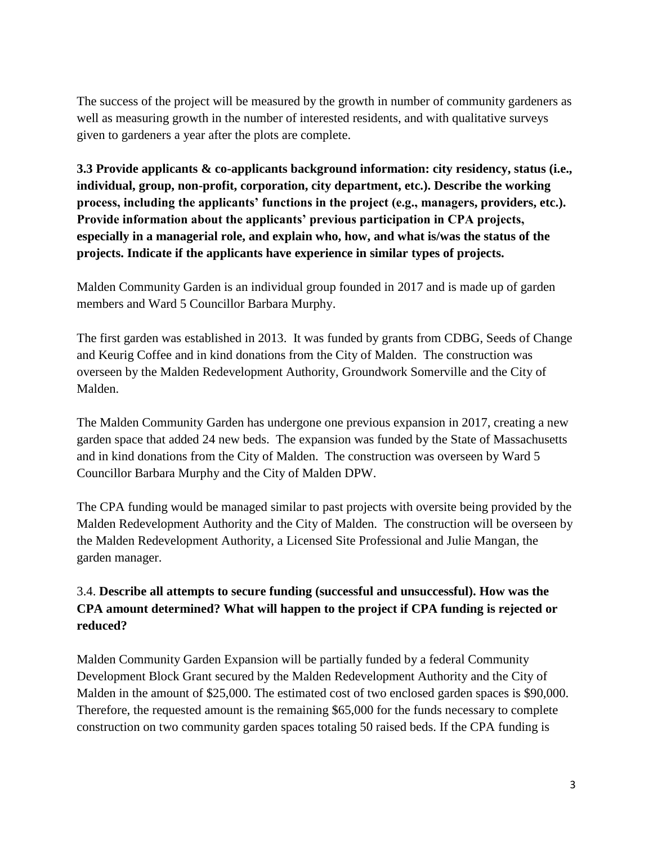The success of the project will be measured by the growth in number of community gardeners as well as measuring growth in the number of interested residents, and with qualitative surveys given to gardeners a year after the plots are complete.

**3.3 Provide applicants & co-applicants background information: city residency, status (i.e., individual, group, non-profit, corporation, city department, etc.). Describe the working process, including the applicants' functions in the project (e.g., managers, providers, etc.). Provide information about the applicants' previous participation in CPA projects, especially in a managerial role, and explain who, how, and what is/was the status of the projects. Indicate if the applicants have experience in similar types of projects.** 

Malden Community Garden is an individual group founded in 2017 and is made up of garden members and Ward 5 Councillor Barbara Murphy.

The first garden was established in 2013. It was funded by grants from CDBG, Seeds of Change and Keurig Coffee and in kind donations from the City of Malden. The construction was overseen by the Malden Redevelopment Authority, Groundwork Somerville and the City of Malden.

The Malden Community Garden has undergone one previous expansion in 2017, creating a new garden space that added 24 new beds. The expansion was funded by the State of Massachusetts and in kind donations from the City of Malden. The construction was overseen by Ward 5 Councillor Barbara Murphy and the City of Malden DPW.

The CPA funding would be managed similar to past projects with oversite being provided by the Malden Redevelopment Authority and the City of Malden. The construction will be overseen by the Malden Redevelopment Authority, a Licensed Site Professional and Julie Mangan, the garden manager.

# 3.4. **Describe all attempts to secure funding (successful and unsuccessful). How was the CPA amount determined? What will happen to the project if CPA funding is rejected or reduced?**

Malden Community Garden Expansion will be partially funded by a federal Community Development Block Grant secured by the Malden Redevelopment Authority and the City of Malden in the amount of \$25,000. The estimated cost of two enclosed garden spaces is \$90,000. Therefore, the requested amount is the remaining \$65,000 for the funds necessary to complete construction on two community garden spaces totaling 50 raised beds. If the CPA funding is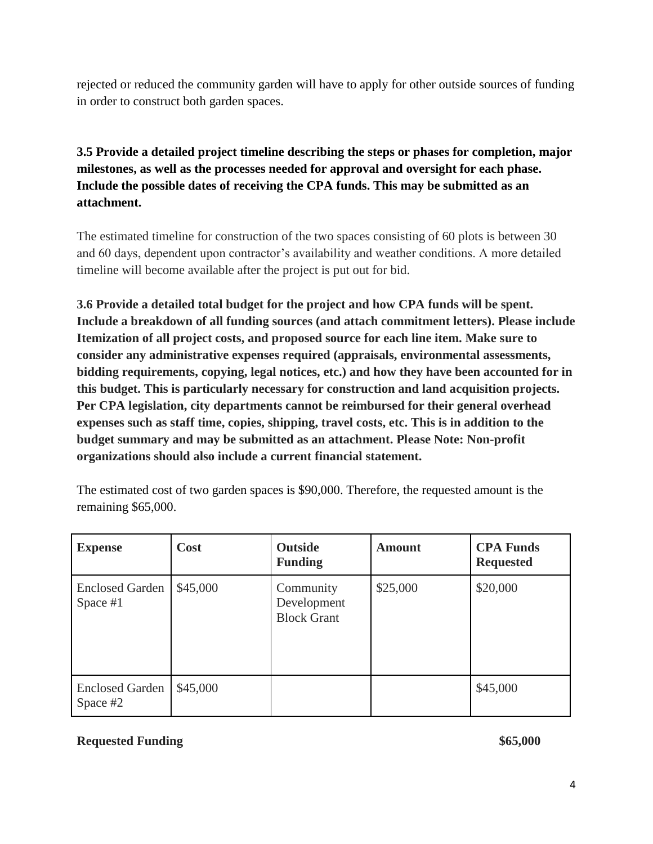rejected or reduced the community garden will have to apply for other outside sources of funding in order to construct both garden spaces.

# **3.5 Provide a detailed project timeline describing the steps or phases for completion, major milestones, as well as the processes needed for approval and oversight for each phase. Include the possible dates of receiving the CPA funds. This may be submitted as an attachment.**

The estimated timeline for construction of the two spaces consisting of 60 plots is between 30 and 60 days, dependent upon contractor's availability and weather conditions. A more detailed timeline will become available after the project is put out for bid.

**3.6 Provide a detailed total budget for the project and how CPA funds will be spent. Include a breakdown of all funding sources (and attach commitment letters). Please include Itemization of all project costs, and proposed source for each line item. Make sure to consider any administrative expenses required (appraisals, environmental assessments, bidding requirements, copying, legal notices, etc.) and how they have been accounted for in this budget. This is particularly necessary for construction and land acquisition projects. Per CPA legislation, city departments cannot be reimbursed for their general overhead expenses such as staff time, copies, shipping, travel costs, etc. This is in addition to the budget summary and may be submitted as an attachment. Please Note: Non-profit organizations should also include a current financial statement.** 

| <b>Expense</b>                       | <b>Cost</b> | <b>Outside</b><br><b>Funding</b>               | <b>Amount</b> | <b>CPA Funds</b><br><b>Requested</b> |
|--------------------------------------|-------------|------------------------------------------------|---------------|--------------------------------------|
| <b>Enclosed Garden</b><br>Space $#1$ | \$45,000    | Community<br>Development<br><b>Block Grant</b> | \$25,000      | \$20,000                             |
| <b>Enclosed Garden</b><br>Space #2   | \$45,000    |                                                |               | \$45,000                             |

The estimated cost of two garden spaces is \$90,000. Therefore, the requested amount is the remaining \$65,000.

## **Requested Funding \$65,000 \$65,000 \$65,000 \$65,000 \$65,000 \$65,000 \$65,000 \$65,000 \$65,000 \$65,000 \$65,000 \$65,000 \$65,000 \$65,000 \$65,000 \$65,000 \$65,000 \$65,000 \$65,000 \$65,000 \$65,000 \$65,000 \$65,000 \$65,000 \$65,000 \$65**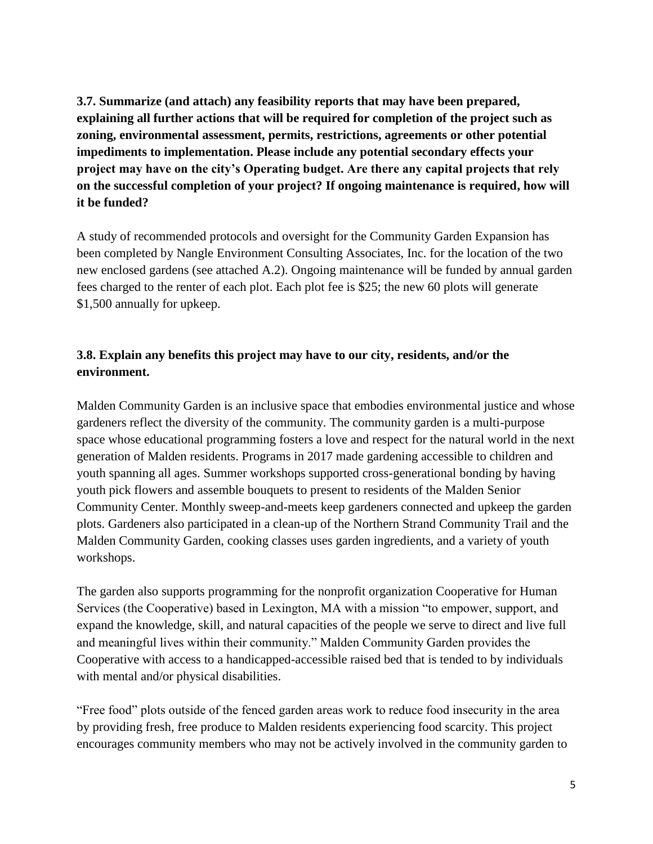**3.7. Summarize (and attach) any feasibility reports that may have been prepared, explaining all further actions that will be required for completion of the project such as zoning, environmental assessment, permits, restrictions, agreements or other potential impediments to implementation. Please include any potential secondary effects your project may have on the city's Operating budget. Are there any capital projects that rely on the successful completion of your project? If ongoing maintenance is required, how will it be funded?** 

A study of recommended protocols and oversight for the Community Garden Expansion has been completed by Nangle Environment Consulting Associates, Inc. for the location of the two new enclosed gardens (see attached A.2). Ongoing maintenance will be funded by annual garden fees charged to the renter of each plot. Each plot fee is \$25; the new 60 plots will generate \$1,500 annually for upkeep.

# **3.8. Explain any benefits this project may have to our city, residents, and/or the environment.**

Malden Community Garden is an inclusive space that embodies environmental justice and whose gardeners reflect the diversity of the community. The community garden is a multi-purpose space whose educational programming fosters a love and respect for the natural world in the next generation of Malden residents. Programs in 2017 made gardening accessible to children and youth spanning all ages. Summer workshops supported cross-generational bonding by having youth pick flowers and assemble bouquets to present to residents of the Malden Senior Community Center. Monthly sweep-and-meets keep gardeners connected and upkeep the garden plots. Gardeners also participated in a clean-up of the Northern Strand Community Trail and the Malden Community Garden, cooking classes uses garden ingredients, and a variety of youth workshops.

The garden also supports programming for the nonprofit organization Cooperative for Human Services (the Cooperative) based in Lexington, MA with a mission "to empower, support, and expand the knowledge, skill, and natural capacities of the people we serve to direct and live full and meaningful lives within their community." Malden Community Garden provides the Cooperative with access to a handicapped-accessible raised bed that is tended to by individuals with mental and/or physical disabilities.

"Free food" plots outside of the fenced garden areas work to reduce food insecurity in the area by providing fresh, free produce to Malden residents experiencing food scarcity. This project encourages community members who may not be actively involved in the community garden to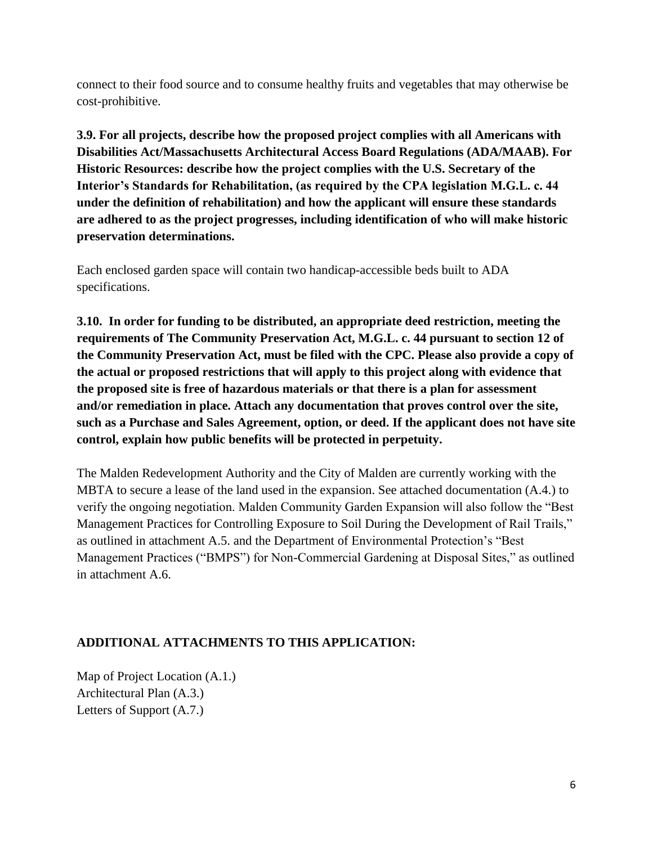connect to their food source and to consume healthy fruits and vegetables that may otherwise be cost-prohibitive.

**3.9. For all projects, describe how the proposed project complies with all Americans with Disabilities Act/Massachusetts Architectural Access Board Regulations (ADA/MAAB). For Historic Resources: describe how the project complies with the U.S. Secretary of the Interior's Standards for Rehabilitation, (as required by the CPA legislation M.G.L. c. 44 under the definition of rehabilitation) and how the applicant will ensure these standards are adhered to as the project progresses, including identification of who will make historic preservation determinations.** 

Each enclosed garden space will contain two handicap-accessible beds built to ADA specifications.

**3.10. In order for funding to be distributed, an appropriate deed restriction, meeting the requirements of The Community Preservation Act, M.G.L. c. 44 pursuant to section 12 of the Community Preservation Act, must be filed with the CPC. Please also provide a copy of the actual or proposed restrictions that will apply to this project along with evidence that the proposed site is free of hazardous materials or that there is a plan for assessment and/or remediation in place. Attach any documentation that proves control over the site, such as a Purchase and Sales Agreement, option, or deed. If the applicant does not have site control, explain how public benefits will be protected in perpetuity.** 

The Malden Redevelopment Authority and the City of Malden are currently working with the MBTA to secure a lease of the land used in the expansion. See attached documentation (A.4.) to verify the ongoing negotiation. Malden Community Garden Expansion will also follow the "Best Management Practices for Controlling Exposure to Soil During the Development of Rail Trails," as outlined in attachment A.5. and the Department of Environmental Protection's "Best Management Practices ("BMPS") for Non-Commercial Gardening at Disposal Sites," as outlined in attachment A.6.

# **ADDITIONAL ATTACHMENTS TO THIS APPLICATION:**

Map of Project Location (A.1.) Architectural Plan (A.3.) Letters of Support (A.7.)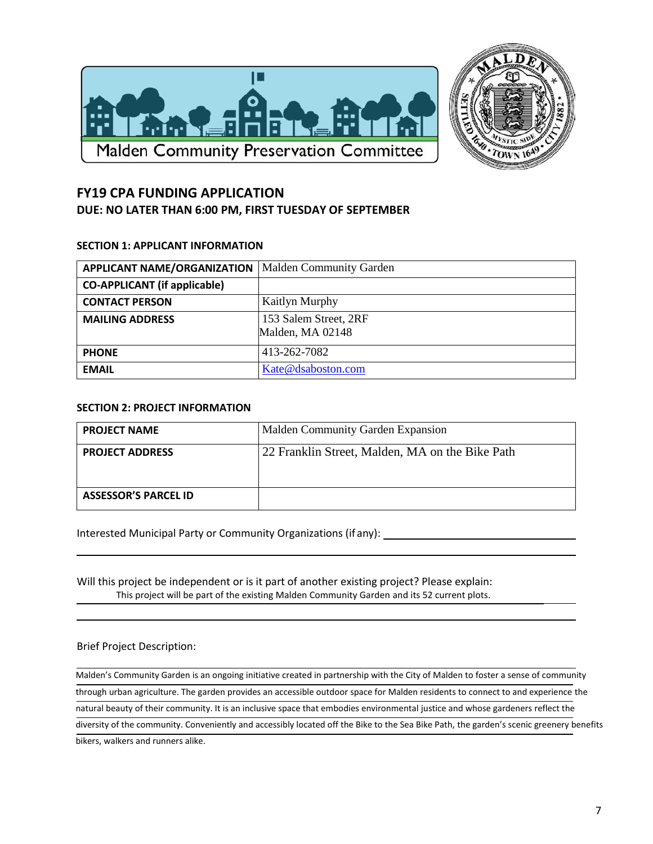



# **FY19 CPA FUNDING APPLICATION DUE: NO LATER THAN 6:00 PM, FIRST TUESDAY OF SEPTEMBER**

#### **SECTION 1: APPLICANT INFORMATION**

| <b>APPLICANT NAME/ORGANIZATION</b>  | <b>Malden Community Garden</b>            |
|-------------------------------------|-------------------------------------------|
| <b>CO-APPLICANT</b> (if applicable) |                                           |
| <b>CONTACT PERSON</b>               | <b>Kaitlyn Murphy</b>                     |
| <b>MAILING ADDRESS</b>              | 153 Salem Street, 2RF<br>Malden, MA 02148 |
| <b>PHONE</b>                        | 413-262-7082                              |
| <b>EMAIL</b>                        | Kate@dsaboston.com                        |

#### **SECTION 2: PROJECT INFORMATION**

| <b>PROJECT NAME</b>         | Malden Community Garden Expansion               |  |
|-----------------------------|-------------------------------------------------|--|
| <b>PROJECT ADDRESS</b>      | 22 Franklin Street, Malden, MA on the Bike Path |  |
| <b>ASSESSOR'S PARCEL ID</b> |                                                 |  |

Interested Municipal Party or Community Organizations (if any):

Will this project be independent or is it part of another existing project? Please explain: This project will be part of the existing Malden Community Garden and its 52 current plots.

#### Brief Project Description:

Malden's Community Garden is an ongoing initiative created in partnership with the City of Malden to foster a sense of community through urban agriculture. The garden provides an accessible outdoor space for Malden residents to connect to and experience the natural beauty of their community. It is an inclusive space that embodies environmental justice and whose gardeners reflect the diversity of the community. Conveniently and accessibly located off the Bike to the Sea Bike Path, the garden's scenic greenery benefits bikers, walkers and runners alike.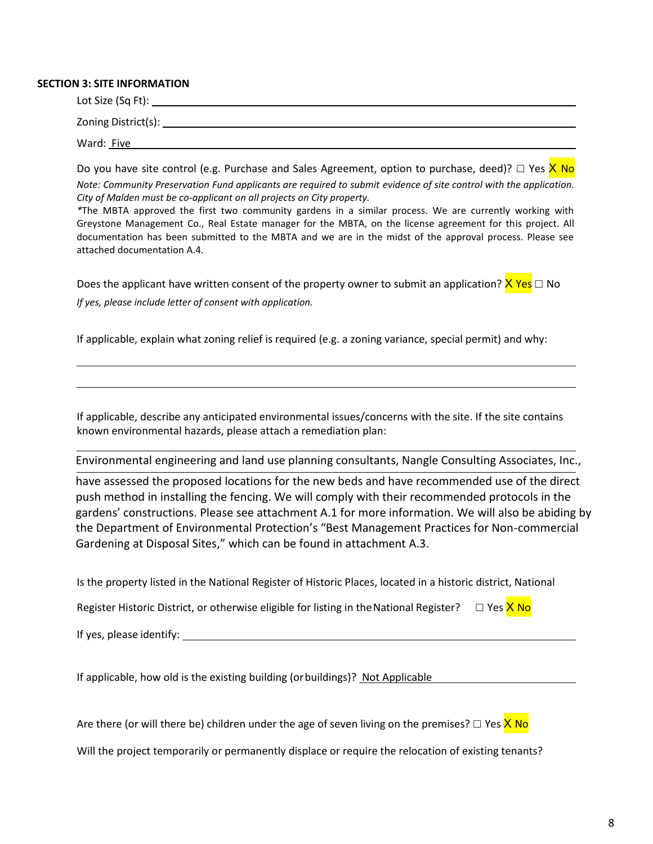#### **SECTION 3: SITE INFORMATION**

| Lot Size (Sq Ft):   |  |  |
|---------------------|--|--|
| Zoning District(s): |  |  |
| Ward: Five          |  |  |

Do you have site control (e.g. Purchase and Sales Agreement, option to purchase, deed)?  $\Box$  Yes  $\times$  No *Note: Community Preservation Fund applicants are required to submit evidence of site control with the application. City of Malden must be co-applicant on all projects on City property.*

*\**The MBTA approved the first two community gardens in a similar process. We are currently working with Greystone Management Co., Real Estate manager for the MBTA, on the license agreement for this project. All documentation has been submitted to the MBTA and we are in the midst of the approval process. Please see attached documentation A.4.

Does the applicant have written consent of the property owner to submit an application?  $X$  Yes  $\Box$  No *If yes, please include letter of consent with application.*

If applicable, explain what zoning relief is required (e.g. a zoning variance, special permit) and why:

If applicable, describe any anticipated environmental issues/concerns with the site. If the site contains known environmental hazards, please attach a remediation plan:

Environmental engineering and land use planning consultants, Nangle Consulting Associates, Inc.,

have assessed the proposed locations for the new beds and have recommended use of the direct push method in installing the fencing. We will comply with their recommended protocols in the gardens' constructions. Please see attachment A.1 for more information. We will also be abiding by the Department of Environmental Protection's "Best Management Practices for Non-commercial Gardening at Disposal Sites," which can be found in attachment A.3.

| Is the property listed in the National Register of Historic Places, located in a historic district, National      |  |  |  |  |
|-------------------------------------------------------------------------------------------------------------------|--|--|--|--|
| Register Historic District, or otherwise eligible for listing in the National Register? $\square$ Yes $\times$ No |  |  |  |  |
| If yes, please identify:                                                                                          |  |  |  |  |
| If applicable, how old is the existing building (or buildings)? Not Applicable                                    |  |  |  |  |

Are there (or will there be) children under the age of seven living on the premises?  $\Box$  Yes  $X$  No

Will the project temporarily or permanently displace or require the relocation of existing tenants?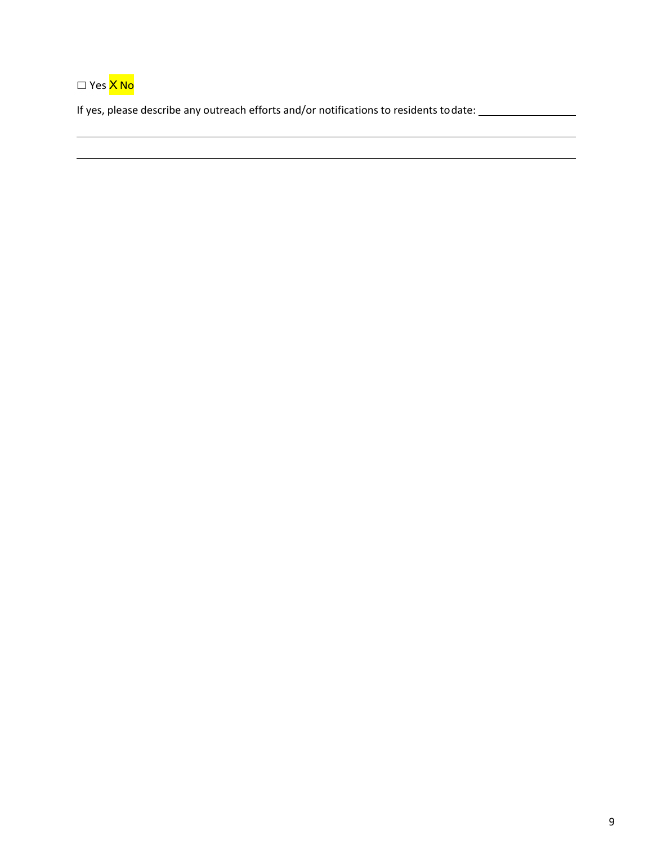☐ Yes X No

If yes, please describe any outreach efforts and/or notifications to residents todate:

<u> 1989 - Johann Stoff, deutscher Stoffen und der Stoffen und der Stoffen und der Stoffen und der Stoffen und der</u>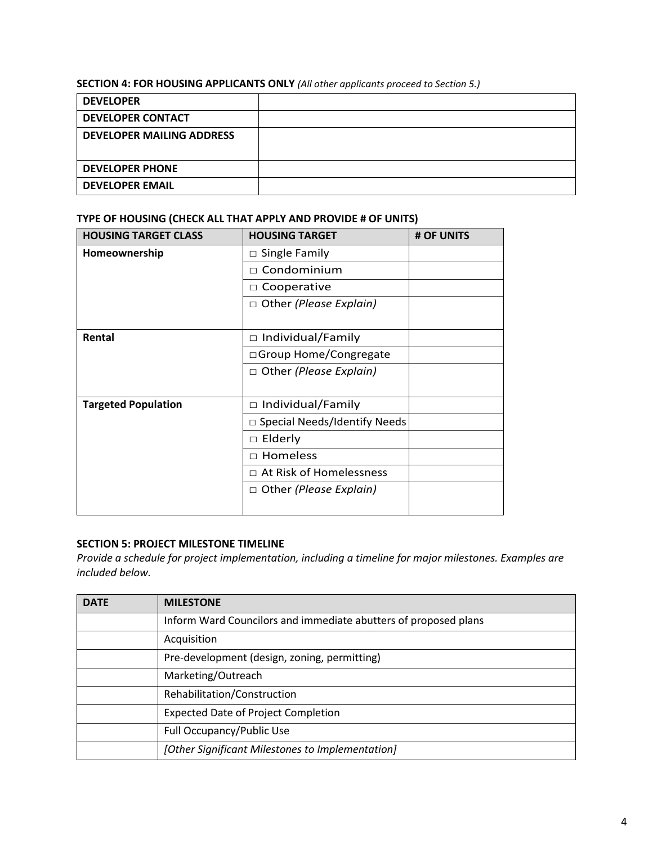### **SECTION 4: FOR HOUSING APPLICANTS ONLY** *(All other applicants proceed to Section 5.)*

| <b>DEVELOPER</b>                 |  |
|----------------------------------|--|
| <b>DEVELOPER CONTACT</b>         |  |
| <b>DEVELOPER MAILING ADDRESS</b> |  |
|                                  |  |
| <b>DEVELOPER PHONE</b>           |  |
| <b>DEVELOPER EMAIL</b>           |  |

### **TYPE OF HOUSING (CHECK ALL THAT APPLY AND PROVIDE # OF UNITS)**

| <b>HOUSING TARGET CLASS</b> | <b>HOUSING TARGET</b>               | # OF UNITS |
|-----------------------------|-------------------------------------|------------|
| Homeownership               | $\Box$ Single Family                |            |
|                             | Condominium                         |            |
|                             | Cooperative<br>$\Box$               |            |
|                             | $\Box$ Other (Please Explain)       |            |
|                             |                                     |            |
| Rental                      | Individual/Family<br>$\Box$         |            |
|                             | □ Group Home/Congregate             |            |
|                             | $\Box$ Other (Please Explain)       |            |
|                             |                                     |            |
| <b>Targeted Population</b>  | Individual/Family<br>$\Box$         |            |
|                             | $\Box$ Special Needs/Identify Needs |            |
|                             | Elderly<br>□                        |            |
|                             | Homeless<br>П.                      |            |
|                             | $\Box$ At Risk of Homelessness      |            |
|                             | Other (Please Explain)<br>$\Box$    |            |
|                             |                                     |            |

#### **SECTION 5: PROJECT MILESTONE TIMELINE**

*Provide a schedule for project implementation, including a timeline for major milestones. Examples are included below.*

| <b>DATE</b> | <b>MILESTONE</b>                                                |
|-------------|-----------------------------------------------------------------|
|             | Inform Ward Councilors and immediate abutters of proposed plans |
|             | Acquisition                                                     |
|             | Pre-development (design, zoning, permitting)                    |
|             | Marketing/Outreach                                              |
|             | Rehabilitation/Construction                                     |
|             | <b>Expected Date of Project Completion</b>                      |
|             | Full Occupancy/Public Use                                       |
|             | [Other Significant Milestones to Implementation]                |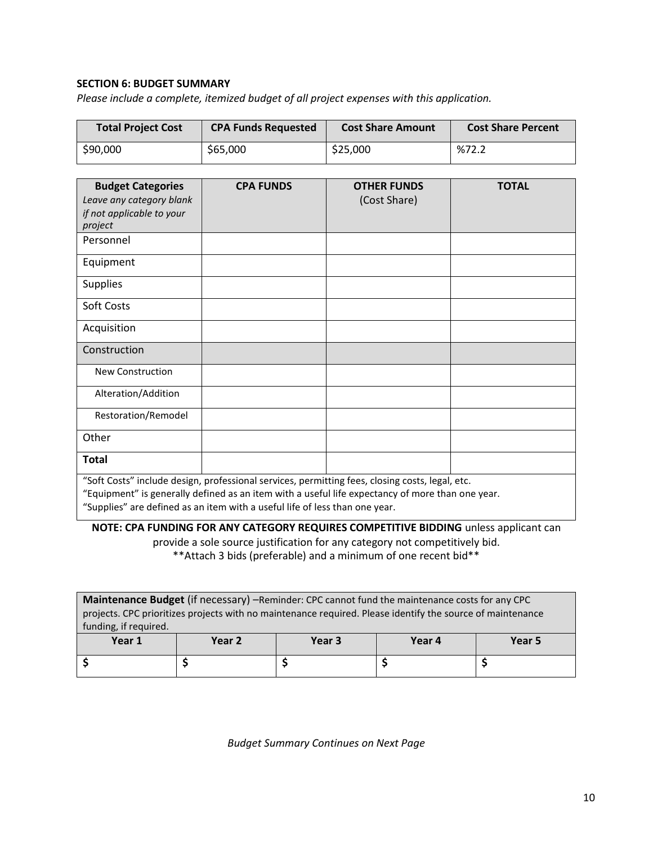### **SECTION 6: BUDGET SUMMARY**

*Please include a complete, itemized budget of all project expenses with this application.*

| <b>Total Project Cost</b> | <b>CPA Funds Requested</b> | <b>Cost Share Amount</b> | <b>Cost Share Percent</b> |
|---------------------------|----------------------------|--------------------------|---------------------------|
| \$90,000                  | \$65,000                   | \$25,000                 | %72.2                     |

| <b>Budget Categories</b><br>Leave any category blank<br>if not applicable to your<br>project                                                                                                                                                                                                                                                                                                                                                                                                                                            | <b>CPA FUNDS</b> | <b>OTHER FUNDS</b><br>(Cost Share) | <b>TOTAL</b> |  |
|-----------------------------------------------------------------------------------------------------------------------------------------------------------------------------------------------------------------------------------------------------------------------------------------------------------------------------------------------------------------------------------------------------------------------------------------------------------------------------------------------------------------------------------------|------------------|------------------------------------|--------------|--|
| Personnel                                                                                                                                                                                                                                                                                                                                                                                                                                                                                                                               |                  |                                    |              |  |
| Equipment                                                                                                                                                                                                                                                                                                                                                                                                                                                                                                                               |                  |                                    |              |  |
| Supplies                                                                                                                                                                                                                                                                                                                                                                                                                                                                                                                                |                  |                                    |              |  |
| Soft Costs                                                                                                                                                                                                                                                                                                                                                                                                                                                                                                                              |                  |                                    |              |  |
| Acquisition                                                                                                                                                                                                                                                                                                                                                                                                                                                                                                                             |                  |                                    |              |  |
| Construction                                                                                                                                                                                                                                                                                                                                                                                                                                                                                                                            |                  |                                    |              |  |
| <b>New Construction</b>                                                                                                                                                                                                                                                                                                                                                                                                                                                                                                                 |                  |                                    |              |  |
| Alteration/Addition                                                                                                                                                                                                                                                                                                                                                                                                                                                                                                                     |                  |                                    |              |  |
| Restoration/Remodel                                                                                                                                                                                                                                                                                                                                                                                                                                                                                                                     |                  |                                    |              |  |
| Other                                                                                                                                                                                                                                                                                                                                                                                                                                                                                                                                   |                  |                                    |              |  |
| <b>Total</b>                                                                                                                                                                                                                                                                                                                                                                                                                                                                                                                            |                  |                                    |              |  |
| "Soft Costs" include design, professional services, permitting fees, closing costs, legal, etc.<br>"Equipment" is generally defined as an item with a useful life expectancy of more than one year.<br>$\theta$ and $\theta$ and $\theta$ and $\theta$ and $\theta$ and $\theta$ and $\theta$ and $\theta$ and $\theta$ and $\theta$ and $\theta$ and $\theta$ and $\theta$ and $\theta$ and $\theta$ and $\theta$ and $\theta$ and $\theta$ and $\theta$ and $\theta$ and $\theta$ and $\theta$ and $\theta$ and $\theta$ and $\theta$ |                  |                                    |              |  |

"Supplies" are defined as an item with a useful life of less than one year.

**NOTE: CPA FUNDING FOR ANY CATEGORY REQUIRES COMPETITIVE BIDDING** unless applicant can provide a sole source justification for any category not competitively bid. \*\*Attach 3 bids (preferable) and a minimum of one recent bid\*\*

| Maintenance Budget (if necessary) -Reminder: CPC cannot fund the maintenance costs for any CPC             |  |  |  |  |  |  |
|------------------------------------------------------------------------------------------------------------|--|--|--|--|--|--|
| projects. CPC prioritizes projects with no maintenance required. Please identify the source of maintenance |  |  |  |  |  |  |
| funding, if required.                                                                                      |  |  |  |  |  |  |
| Year 1<br>Year 4<br>Year 2<br>Year <sub>3</sub><br>Year 5                                                  |  |  |  |  |  |  |
|                                                                                                            |  |  |  |  |  |  |
|                                                                                                            |  |  |  |  |  |  |

*Budget Summary Continues on Next Page*